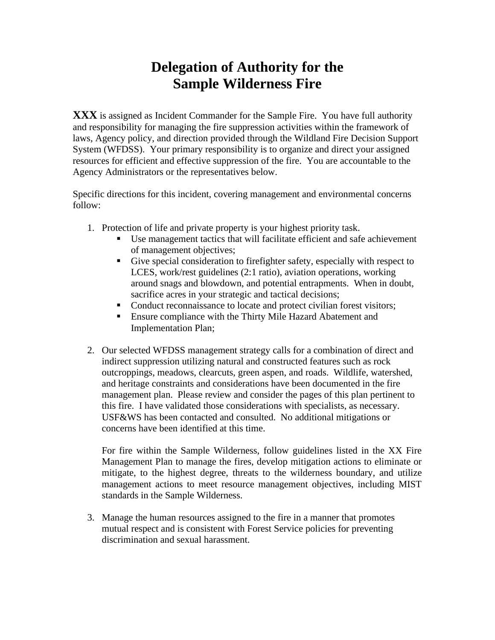## **Delegation of Authority for the Sample Wilderness Fire**

**XXX** is assigned as Incident Commander for the Sample Fire. You have full authority and responsibility for managing the fire suppression activities within the framework of laws, Agency policy, and direction provided through the Wildland Fire Decision Support System (WFDSS). Your primary responsibility is to organize and direct your assigned resources for efficient and effective suppression of the fire. You are accountable to the Agency Administrators or the representatives below.

Specific directions for this incident, covering management and environmental concerns follow:

- 1. Protection of life and private property is your highest priority task.
	- Use management tactics that will facilitate efficient and safe achievement of management objectives;
	- Give special consideration to firefighter safety, especially with respect to LCES, work/rest guidelines (2:1 ratio), aviation operations, working around snags and blowdown, and potential entrapments. When in doubt, sacrifice acres in your strategic and tactical decisions;
	- Conduct reconnaissance to locate and protect civilian forest visitors;
	- Ensure compliance with the Thirty Mile Hazard Abatement and Implementation Plan;
- 2. Our selected WFDSS management strategy calls for a combination of direct and indirect suppression utilizing natural and constructed features such as rock outcroppings, meadows, clearcuts, green aspen, and roads. Wildlife, watershed, and heritage constraints and considerations have been documented in the fire management plan.Please review and consider the pages of this plan pertinent to this fire. I have validated those considerations with specialists, as necessary. USF&WS has been contacted and consulted. No additional mitigations or concerns have been identified at this time.

For fire within the Sample Wilderness, follow guidelines listed in the XX Fire Management Plan to manage the fires, develop mitigation actions to eliminate or mitigate, to the highest degree, threats to the wilderness boundary, and utilize management actions to meet resource management objectives, including MIST standards in the Sample Wilderness.

3. Manage the human resources assigned to the fire in a manner that promotes mutual respect and is consistent with Forest Service policies for preventing discrimination and sexual harassment.